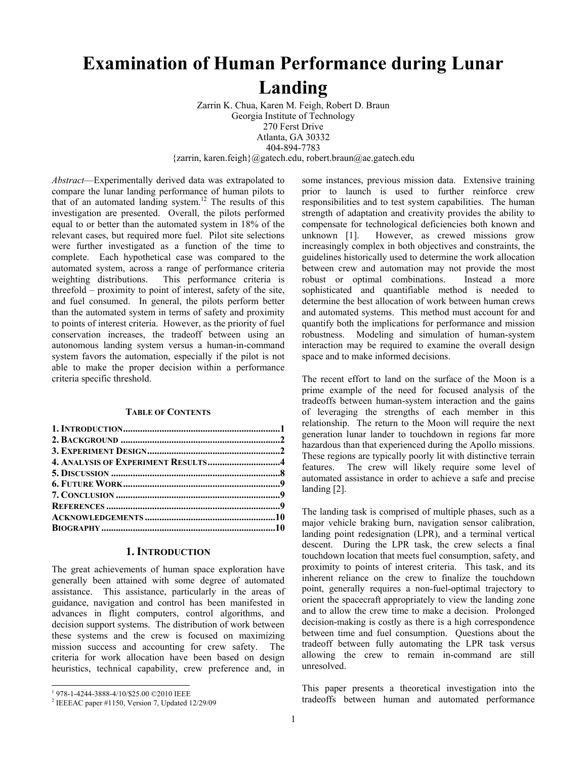# **Examination of Human Performance during Lunar Landing**

Zarrin K. Chua, Karen M. Feigh, Robert D. Braun Georgia Institute of Technology 270 Ferst Drive Atlanta, GA 30332 404-894-7783

{zarrin, karen.feigh}@gatech.edu, robert.braun@ae.gatech.edu

*Abstract*—Experimentally derived data was extrapolated to compare the lunar landing performance of human pilots to that of an automated landing system.<sup>12</sup> The results of this investigation are presented. Overall, the pilots performed equal to or better than the automated system in 18% of the relevant cases, but required more fuel. Pilot site selections were further investigated as a function of the time to complete. Each hypothetical case was compared to the automated system, across a range of performance criteria weighting distributions. This performance criteria is threefold – proximity to point of interest, safety of the site, and fuel consumed. In general, the pilots perform better than the automated system in terms of safety and proximity to points of interest criteria. However, as the priority of fuel conservation increases, the tradeoff between using an autonomous landing system versus a human-in-command system favors the automation, especially if the pilot is not able to make the proper decision within a performance criteria specific threshold.

## **TABLE OF CONTENTS**

## **1. INTRODUCTION**

The great achievements of human space exploration have generally been attained with some degree of automated assistance. This assistance, particularly in the areas of guidance, navigation and control has been manifested in advances in flight computers, control algorithms, and decision support systems. The distribution of work between these systems and the crew is focused on maximizing mission success and accounting for crew safety. The criteria for work allocation have been based on design heuristics, technical capability, crew preference and, in

some instances, previous mission data. Extensive training prior to launch is used to further reinforce crew responsibilities and to test system capabilities. The human strength of adaptation and creativity provides the ability to compensate for technological deficiencies both known and unknown [1]. However, as crewed missions grow increasingly complex in both objectives and constraints, the guidelines historically used to determine the work allocation between crew and automation may not provide the most robust or optimal combinations. Instead a more sophisticated and quantifiable method is needed to determine the best allocation of work between human crews and automated systems. This method must account for and quantify both the implications for performance and mission robustness. Modeling and simulation of human-system interaction may be required to examine the overall design space and to make informed decisions.

The recent effort to land on the surface of the Moon is a prime example of the need for focused analysis of the tradeoffs between human-system interaction and the gains of leveraging the strengths of each member in this relationship. The return to the Moon will require the next generation lunar lander to touchdown in regions far more hazardous than that experienced during the Apollo missions. These regions are typically poorly lit with distinctive terrain features. The crew will likely require some level of automated assistance in order to achieve a safe and precise landing [2].

The landing task is comprised of multiple phases, such as a major vehicle braking burn, navigation sensor calibration, landing point redesignation (LPR), and a terminal vertical descent. During the LPR task, the crew selects a final touchdown location that meets fuel consumption, safety, and proximity to points of interest criteria. This task, and its inherent reliance on the crew to finalize the touchdown point, generally requires a non-fuel-optimal trajectory to orient the spacecraft appropriately to view the landing zone and to allow the crew time to make a decision. Prolonged decision-making is costly as there is a high correspondence between time and fuel consumption. Questions about the tradeoff between fully automating the LPR task versus allowing the crew to remain in-command are still unresolved.

This paper presents a theoretical investigation into the tradeoffs between human and automated performance

 1 978-1-4244-3888-4/10/\$25.00 ©2010 IEEE

<sup>2</sup> IEEEAC paper #1150, Version 7, Updated 12/29/09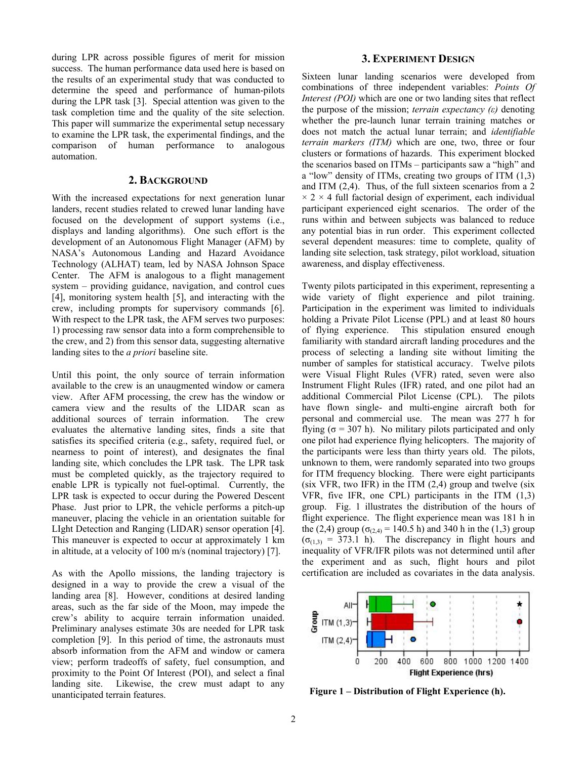during LPR across possible figures of merit for mission success. The human performance data used here is based on the results of an experimental study that was conducted to determine the speed and performance of human-pilots during the LPR task [3]. Special attention was given to the task completion time and the quality of the site selection. This paper will summarize the experimental setup necessary to examine the LPR task, the experimental findings, and the comparison of human performance to analogous automation.

### **2. BACKGROUND**

With the increased expectations for next generation lunar landers, recent studies related to crewed lunar landing have focused on the development of support systems (i.e., displays and landing algorithms). One such effort is the development of an Autonomous Flight Manager (AFM) by NASA's Autonomous Landing and Hazard Avoidance Technology (ALHAT) team, led by NASA Johnson Space Center. The AFM is analogous to a flight management system – providing guidance, navigation, and control cues [4], monitoring system health [5], and interacting with the crew, including prompts for supervisory commands [6]. With respect to the LPR task, the AFM serves two purposes: 1) processing raw sensor data into a form comprehensible to the crew, and 2) from this sensor data, suggesting alternative landing sites to the *a priori* baseline site.

Until this point, the only source of terrain information available to the crew is an unaugmented window or camera view. After AFM processing, the crew has the window or camera view and the results of the LIDAR scan as additional sources of terrain information. The crew evaluates the alternative landing sites, finds a site that satisfies its specified criteria (e.g., safety, required fuel, or nearness to point of interest), and designates the final landing site, which concludes the LPR task. The LPR task must be completed quickly, as the trajectory required to enable LPR is typically not fuel-optimal. Currently, the LPR task is expected to occur during the Powered Descent Phase. Just prior to LPR, the vehicle performs a pitch-up maneuver, placing the vehicle in an orientation suitable for LIght Detection and Ranging (LIDAR) sensor operation [4]. This maneuver is expected to occur at approximately 1 km in altitude, at a velocity of 100 m/s (nominal trajectory) [7].

As with the Apollo missions, the landing trajectory is designed in a way to provide the crew a visual of the landing area [8]. However, conditions at desired landing areas, such as the far side of the Moon, may impede the crew's ability to acquire terrain information unaided. Preliminary analyses estimate 30s are needed for LPR task completion [9]. In this period of time, the astronauts must absorb information from the AFM and window or camera view; perform tradeoffs of safety, fuel consumption, and proximity to the Point Of Interest (POI), and select a final landing site. Likewise, the crew must adapt to any unanticipated terrain features.

# **3. EXPERIMENT DESIGN**

Sixteen lunar landing scenarios were developed from combinations of three independent variables: *Points Of Interest (POI)* which are one or two landing sites that reflect the purpose of the mission; *terrain expectancy (ε)* denoting whether the pre-launch lunar terrain training matches or does not match the actual lunar terrain; and *identifiable terrain markers (ITM)* which are one, two, three or four clusters or formations of hazards. This experiment blocked the scenarios based on ITMs – participants saw a "high" and a "low" density of ITMs, creating two groups of ITM (1,3) and ITM (2,4). Thus, of the full sixteen scenarios from a 2  $\times$  2  $\times$  4 full factorial design of experiment, each individual participant experienced eight scenarios. The order of the runs within and between subjects was balanced to reduce any potential bias in run order. This experiment collected several dependent measures: time to complete, quality of landing site selection, task strategy, pilot workload, situation awareness, and display effectiveness.

Twenty pilots participated in this experiment, representing a wide variety of flight experience and pilot training. Participation in the experiment was limited to individuals holding a Private Pilot License (PPL) and at least 80 hours of flying experience. This stipulation ensured enough familiarity with standard aircraft landing procedures and the process of selecting a landing site without limiting the number of samples for statistical accuracy. Twelve pilots were Visual Flight Rules (VFR) rated, seven were also Instrument Flight Rules (IFR) rated, and one pilot had an additional Commercial Pilot License (CPL). The pilots have flown single- and multi-engine aircraft both for personal and commercial use. The mean was 277 h for flying ( $\sigma$  = 307 h). No military pilots participated and only one pilot had experience flying helicopters. The majority of the participants were less than thirty years old. The pilots, unknown to them, were randomly separated into two groups for ITM frequency blocking. There were eight participants (six VFR, two IFR) in the ITM  $(2,4)$  group and twelve (six VFR, five IFR, one CPL) participants in the ITM (1,3) group. Fig. 1 illustrates the distribution of the hours of flight experience. The flight experience mean was 181 h in the (2,4) group ( $\sigma_{(2,4)}$  = 140.5 h) and 340 h in the (1,3) group  $(\sigma_{(1,3)} = 373.1 \text{ h})$ . The discrepancy in flight hours and inequality of VFR/IFR pilots was not determined until after the experiment and as such, flight hours and pilot certification are included as covariates in the data analysis.



**Figure 1 – Distribution of Flight Experience (h).**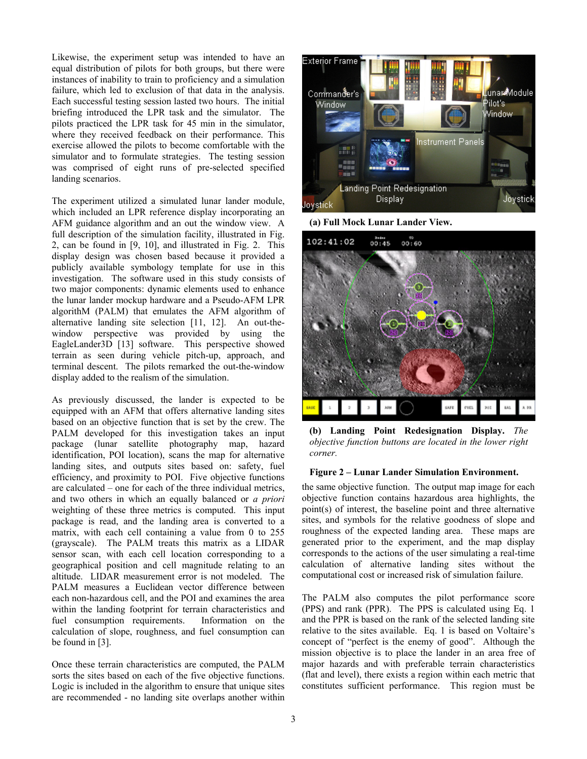Likewise, the experiment setup was intended to have an equal distribution of pilots for both groups, but there were instances of inability to train to proficiency and a simulation failure, which led to exclusion of that data in the analysis. Each successful testing session lasted two hours. The initial briefing introduced the LPR task and the simulator. The pilots practiced the LPR task for 45 min in the simulator, where they received feedback on their performance. This exercise allowed the pilots to become comfortable with the simulator and to formulate strategies. The testing session was comprised of eight runs of pre-selected specified landing scenarios.

The experiment utilized a simulated lunar lander module, which included an LPR reference display incorporating an AFM guidance algorithm and an out the window view. A full description of the simulation facility, illustrated in Fig. 2, can be found in [9, 10], and illustrated in Fig. 2. This display design was chosen based because it provided a publicly available symbology template for use in this investigation. The software used in this study consists of two major components: dynamic elements used to enhance the lunar lander mockup hardware and a Pseudo-AFM LPR algorithM (PALM) that emulates the AFM algorithm of alternative landing site selection [11, 12]. An out-thewindow perspective was provided by using the EagleLander3D [13] software. This perspective showed terrain as seen during vehicle pitch-up, approach, and terminal descent. The pilots remarked the out-the-window display added to the realism of the simulation.

As previously discussed, the lander is expected to be equipped with an AFM that offers alternative landing sites based on an objective function that is set by the crew. The PALM developed for this investigation takes an input package (lunar satellite photography map, hazard identification, POI location), scans the map for alternative landing sites, and outputs sites based on: safety, fuel efficiency, and proximity to POI. Five objective functions are calculated – one for each of the three individual metrics, and two others in which an equally balanced or *a priori* weighting of these three metrics is computed. This input package is read, and the landing area is converted to a matrix, with each cell containing a value from 0 to 255 (grayscale). The PALM treats this matrix as a LIDAR sensor scan, with each cell location corresponding to a geographical position and cell magnitude relating to an altitude. LIDAR measurement error is not modeled. The PALM measures a Euclidean vector difference between each non-hazardous cell, and the POI and examines the area within the landing footprint for terrain characteristics and fuel consumption requirements. Information on the calculation of slope, roughness, and fuel consumption can be found in [3].

Once these terrain characteristics are computed, the PALM sorts the sites based on each of the five objective functions. Logic is included in the algorithm to ensure that unique sites are recommended - no landing site overlaps another within



**(a) Full Mock Lunar Lander View.**



**(b) Landing Point Redesignation Display.** *The objective function buttons are located in the lower right corner.* 

## **Figure 2 – Lunar Lander Simulation Environment.**

the same objective function. The output map image for each objective function contains hazardous area highlights, the point(s) of interest, the baseline point and three alternative sites, and symbols for the relative goodness of slope and roughness of the expected landing area. These maps are generated prior to the experiment, and the map display corresponds to the actions of the user simulating a real-time calculation of alternative landing sites without the computational cost or increased risk of simulation failure.

The PALM also computes the pilot performance score (PPS) and rank (PPR). The PPS is calculated using Eq. 1 and the PPR is based on the rank of the selected landing site relative to the sites available. Eq. 1 is based on Voltaire's concept of "perfect is the enemy of good". Although the mission objective is to place the lander in an area free of major hazards and with preferable terrain characteristics (flat and level), there exists a region within each metric that constitutes sufficient performance. This region must be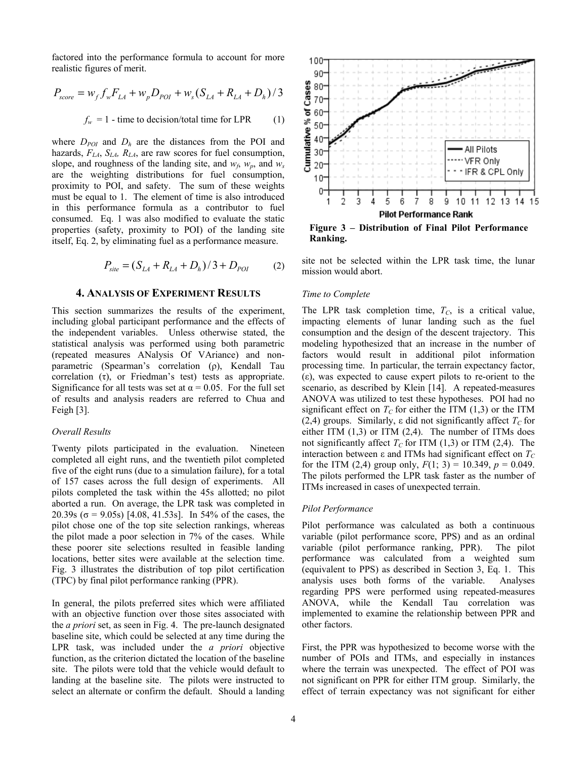factored into the performance formula to account for more realistic figures of merit.

$$
P_{score} = w_f f_w F_{LA} + w_p D_{POI} + w_s (S_{LA} + R_{LA} + D_h) / 3
$$
  

$$
f_w = 1
$$
 - time to decision/total time for LPR (1)

where  $D_{POI}$  and  $D_h$  are the distances from the POI and hazards, *FLA*, *SLA, RLA*, are raw scores for fuel consumption, slope, and roughness of the landing site, and  $w_f$ ,  $w_p$ , and  $w_s$ are the weighting distributions for fuel consumption, proximity to POI, and safety. The sum of these weights must be equal to 1. The element of time is also introduced in this performance formula as a contributor to fuel consumed. Eq. 1 was also modified to evaluate the static properties (safety, proximity to POI) of the landing site itself, Eq. 2, by eliminating fuel as a performance measure.

$$
P_{site} = (S_{LA} + R_{LA} + D_h)/3 + D_{POI} \tag{2}
$$

#### **4. ANALYSIS OF EXPERIMENT RESULTS**

This section summarizes the results of the experiment, including global participant performance and the effects of the independent variables. Unless otherwise stated, the statistical analysis was performed using both parametric (repeated measures ANalysis Of VAriance) and nonparametric (Spearman's correlation (ρ), Kendall Tau correlation  $(\tau)$ , or Friedman's test) tests as appropriate. Significance for all tests was set at  $\alpha = 0.05$ . For the full set of results and analysis readers are referred to Chua and Feigh [3].

#### *Overall Results*

Twenty pilots participated in the evaluation. Nineteen completed all eight runs, and the twentieth pilot completed five of the eight runs (due to a simulation failure), for a total of 157 cases across the full design of experiments. All pilots completed the task within the 45s allotted; no pilot aborted a run. On average, the LPR task was completed in 20.39s ( $\sigma$  = 9.05s) [4.08, 41.53s]. In 54% of the cases, the pilot chose one of the top site selection rankings, whereas the pilot made a poor selection in 7% of the cases. While these poorer site selections resulted in feasible landing locations, better sites were available at the selection time. Fig. 3 illustrates the distribution of top pilot certification (TPC) by final pilot performance ranking (PPR).

In general, the pilots preferred sites which were affiliated with an objective function over those sites associated with the *a priori* set, as seen in Fig. 4. The pre-launch designated baseline site, which could be selected at any time during the LPR task, was included under the *a priori* objective function, as the criterion dictated the location of the baseline site. The pilots were told that the vehicle would default to landing at the baseline site. The pilots were instructed to select an alternate or confirm the default. Should a landing



**Figure 3 – Distribution of Final Pilot Performance Ranking.**

site not be selected within the LPR task time, the lunar mission would abort.

#### *Time to Complete*

The LPR task completion time,  $T_c$ , is a critical value, impacting elements of lunar landing such as the fuel consumption and the design of the descent trajectory. This modeling hypothesized that an increase in the number of factors would result in additional pilot information processing time. In particular, the terrain expectancy factor, (ε), was expected to cause expert pilots to re-orient to the scenario, as described by Klein [14]. A repeated-measures ANOVA was utilized to test these hypotheses. POI had no significant effect on  $T_C$  for either the ITM (1,3) or the ITM (2,4) groups. Similarly,  $\varepsilon$  did not significantly affect  $T_C$  for either ITM  $(1,3)$  or ITM  $(2,4)$ . The number of ITMs does not significantly affect  $T_C$  for ITM (1,3) or ITM (2,4). The interaction between ε and ITMs had significant effect on  $T_C$ for the ITM (2,4) group only,  $F(1; 3) = 10.349$ ,  $p = 0.049$ . The pilots performed the LPR task faster as the number of ITMs increased in cases of unexpected terrain.

#### *Pilot Performance*

Pilot performance was calculated as both a continuous variable (pilot performance score, PPS) and as an ordinal variable (pilot performance ranking, PPR). The pilot performance was calculated from a weighted sum (equivalent to PPS) as described in Section 3, Eq. 1. This analysis uses both forms of the variable. Analyses regarding PPS were performed using repeated-measures ANOVA, while the Kendall Tau correlation was implemented to examine the relationship between PPR and other factors.

First, the PPR was hypothesized to become worse with the number of POIs and ITMs, and especially in instances where the terrain was unexpected. The effect of POI was not significant on PPR for either ITM group. Similarly, the effect of terrain expectancy was not significant for either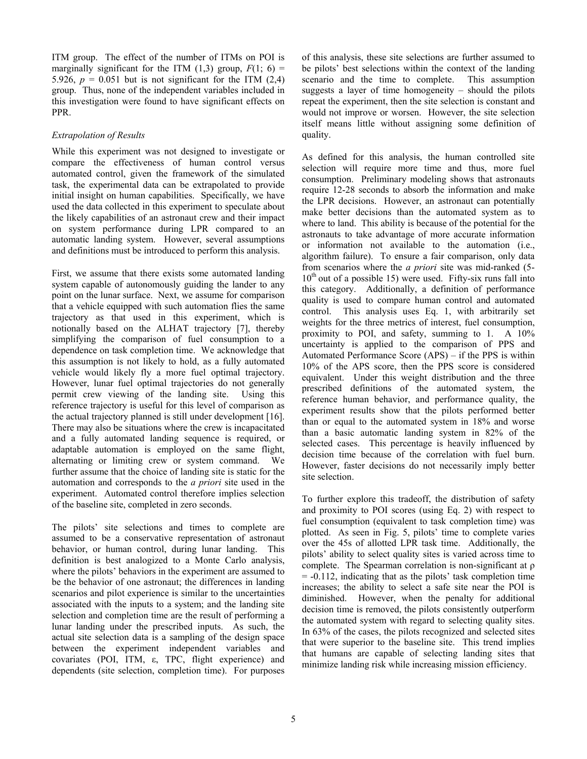ITM group. The effect of the number of ITMs on POI is marginally significant for the ITM  $(1,3)$  group,  $F(1; 6)$  = 5.926,  $p = 0.051$  but is not significant for the ITM  $(2,4)$ group. Thus, none of the independent variables included in this investigation were found to have significant effects on PPR.

# *Extrapolation of Results*

While this experiment was not designed to investigate or compare the effectiveness of human control versus automated control, given the framework of the simulated task, the experimental data can be extrapolated to provide initial insight on human capabilities. Specifically, we have used the data collected in this experiment to speculate about the likely capabilities of an astronaut crew and their impact on system performance during LPR compared to an automatic landing system. However, several assumptions and definitions must be introduced to perform this analysis.

First, we assume that there exists some automated landing system capable of autonomously guiding the lander to any point on the lunar surface. Next, we assume for comparison that a vehicle equipped with such automation flies the same trajectory as that used in this experiment, which is notionally based on the ALHAT trajectory [7], thereby simplifying the comparison of fuel consumption to a dependence on task completion time. We acknowledge that this assumption is not likely to hold, as a fully automated vehicle would likely fly a more fuel optimal trajectory. However, lunar fuel optimal trajectories do not generally permit crew viewing of the landing site. Using this reference trajectory is useful for this level of comparison as the actual trajectory planned is still under development [16]. There may also be situations where the crew is incapacitated and a fully automated landing sequence is required, or adaptable automation is employed on the same flight, alternating or limiting crew or system command. We further assume that the choice of landing site is static for the automation and corresponds to the *a priori* site used in the experiment. Automated control therefore implies selection of the baseline site, completed in zero seconds.

The pilots' site selections and times to complete are assumed to be a conservative representation of astronaut behavior, or human control, during lunar landing. This definition is best analogized to a Monte Carlo analysis, where the pilots' behaviors in the experiment are assumed to be the behavior of one astronaut; the differences in landing scenarios and pilot experience is similar to the uncertainties associated with the inputs to a system; and the landing site selection and completion time are the result of performing a lunar landing under the prescribed inputs. As such, the actual site selection data is a sampling of the design space between the experiment independent variables and covariates (POI, ITM, ε, TPC, flight experience) and dependents (site selection, completion time). For purposes

of this analysis, these site selections are further assumed to be pilots' best selections within the context of the landing scenario and the time to complete. This assumption suggests a layer of time homogeneity – should the pilots repeat the experiment, then the site selection is constant and would not improve or worsen. However, the site selection itself means little without assigning some definition of quality.

As defined for this analysis, the human controlled site selection will require more time and thus, more fuel consumption. Preliminary modeling shows that astronauts require 12-28 seconds to absorb the information and make the LPR decisions. However, an astronaut can potentially make better decisions than the automated system as to where to land. This ability is because of the potential for the astronauts to take advantage of more accurate information or information not available to the automation (i.e., algorithm failure). To ensure a fair comparison, only data from scenarios where the *a priori* site was mid-ranked (5-  $10<sup>th</sup>$  out of a possible 15) were used. Fifty-six runs fall into this category. Additionally, a definition of performance quality is used to compare human control and automated control. This analysis uses Eq. 1, with arbitrarily set weights for the three metrics of interest, fuel consumption, proximity to POI, and safety, summing to 1. A 10% uncertainty is applied to the comparison of PPS and Automated Performance Score (APS) – if the PPS is within 10% of the APS score, then the PPS score is considered equivalent. Under this weight distribution and the three prescribed definitions of the automated system, the reference human behavior, and performance quality, the experiment results show that the pilots performed better than or equal to the automated system in 18% and worse than a basic automatic landing system in 82% of the selected cases. This percentage is heavily influenced by decision time because of the correlation with fuel burn. However, faster decisions do not necessarily imply better site selection.

To further explore this tradeoff, the distribution of safety and proximity to POI scores (using Eq. 2) with respect to fuel consumption (equivalent to task completion time) was plotted. As seen in Fig. 5, pilots' time to complete varies over the 45s of allotted LPR task time. Additionally, the pilots' ability to select quality sites is varied across time to complete. The Spearman correlation is non-significant at ρ  $= -0.112$ , indicating that as the pilots' task completion time increases; the ability to select a safe site near the POI is diminished. However, when the penalty for additional decision time is removed, the pilots consistently outperform the automated system with regard to selecting quality sites. In 63% of the cases, the pilots recognized and selected sites that were superior to the baseline site. This trend implies that humans are capable of selecting landing sites that minimize landing risk while increasing mission efficiency.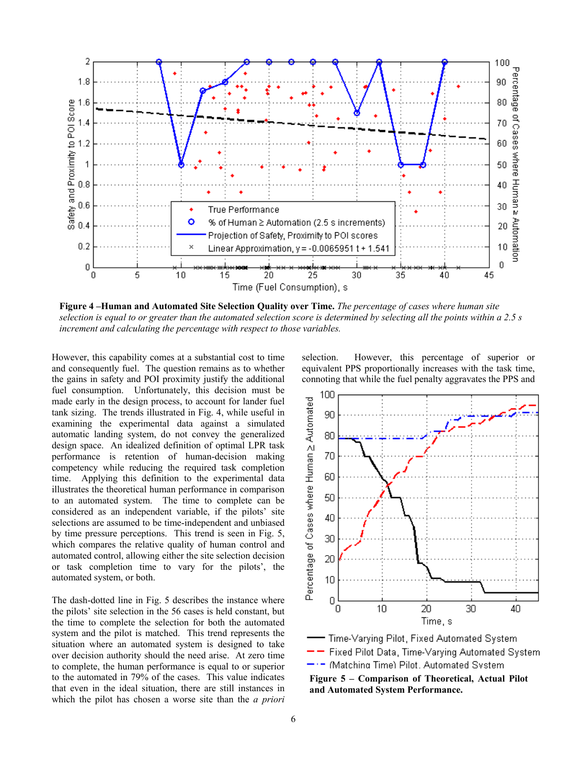

**Figure 4 –Human and Automated Site Selection Quality over Time.** *The percentage of cases where human site selection is equal to or greater than the automated selection score is determined by selecting all the points within a 2.5 s increment and calculating the percentage with respect to those variables.* 

However, this capability comes at a substantial cost to time and consequently fuel. The question remains as to whether the gains in safety and POI proximity justify the additional fuel consumption. Unfortunately, this decision must be made early in the design process, to account for lander fuel tank sizing. The trends illustrated in Fig. 4, while useful in examining the experimental data against a simulated automatic landing system, do not convey the generalized design space. An idealized definition of optimal LPR task performance is retention of human-decision making competency while reducing the required task completion time. Applying this definition to the experimental data illustrates the theoretical human performance in comparison to an automated system. The time to complete can be considered as an independent variable, if the pilots' site selections are assumed to be time-independent and unbiased by time pressure perceptions. This trend is seen in Fig. 5, which compares the relative quality of human control and automated control, allowing either the site selection decision or task completion time to vary for the pilots', the automated system, or both.

The dash-dotted line in Fig. 5 describes the instance where the pilots' site selection in the 56 cases is held constant, but the time to complete the selection for both the automated system and the pilot is matched. This trend represents the situation where an automated system is designed to take over decision authority should the need arise. At zero time to complete, the human performance is equal to or superior to the automated in 79% of the cases. This value indicates that even in the ideal situation, there are still instances in which the pilot has chosen a worse site than the *a priori*  selection. However, this percentage of superior or equivalent PPS proportionally increases with the task time, connoting that while the fuel penalty aggravates the PPS and



Fixed Pilot Data, Time-Varying Automated System

- - (Matching Time) Pilot, Automated System

**Figure 5 – Comparison of Theoretical, Actual Pilot and Automated System Performance.**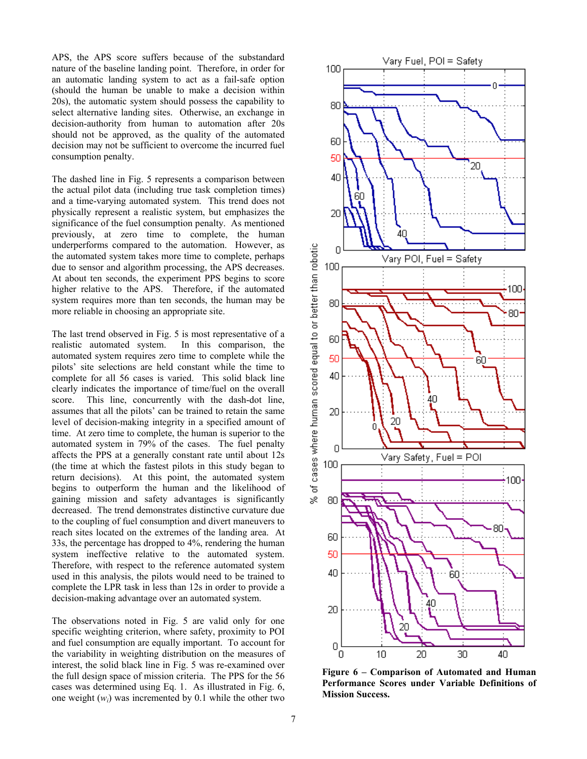APS, the APS score suffers because of the substandard nature of the baseline landing point. Therefore, in order for an automatic landing system to act as a fail-safe option (should the human be unable to make a decision within 20s), the automatic system should possess the capability to select alternative landing sites. Otherwise, an exchange in decision-authority from human to automation after 20s should not be approved, as the quality of the automated decision may not be sufficient to overcome the incurred fuel consumption penalty.

The dashed line in Fig. 5 represents a comparison between the actual pilot data (including true task completion times) and a time-varying automated system. This trend does not physically represent a realistic system, but emphasizes the significance of the fuel consumption penalty. As mentioned previously, at zero time to complete, the human underperforms compared to the automation. However, as the automated system takes more time to complete, perhaps due to sensor and algorithm processing, the APS decreases. At about ten seconds, the experiment PPS begins to score higher relative to the APS. Therefore, if the automated system requires more than ten seconds, the human may be more reliable in choosing an appropriate site.

The last trend observed in Fig. 5 is most representative of a realistic automated system. In this comparison, the automated system requires zero time to complete while the pilots' site selections are held constant while the time to complete for all 56 cases is varied. This solid black line clearly indicates the importance of time/fuel on the overall score. This line, concurrently with the dash-dot line, assumes that all the pilots' can be trained to retain the same level of decision-making integrity in a specified amount of time. At zero time to complete, the human is superior to the automated system in 79% of the cases. The fuel penalty affects the PPS at a generally constant rate until about 12s (the time at which the fastest pilots in this study began to return decisions). At this point, the automated system begins to outperform the human and the likelihood of gaining mission and safety advantages is significantly decreased. The trend demonstrates distinctive curvature due to the coupling of fuel consumption and divert maneuvers to reach sites located on the extremes of the landing area. At 33s, the percentage has dropped to 4%, rendering the human system ineffective relative to the automated system. Therefore, with respect to the reference automated system used in this analysis, the pilots would need to be trained to complete the LPR task in less than 12s in order to provide a decision-making advantage over an automated system.

The observations noted in Fig. 5 are valid only for one specific weighting criterion, where safety, proximity to POI and fuel consumption are equally important. To account for the variability in weighting distribution on the measures of interest, the solid black line in Fig. 5 was re-examined over the full design space of mission criteria. The PPS for the 56 cases was determined using Eq. 1. As illustrated in Fig. 6, one weight  $(w_i)$  was incremented by 0.1 while the other two



**Figure 6 – Comparison of Automated and Human Performance Scores under Variable Definitions of Mission Success.**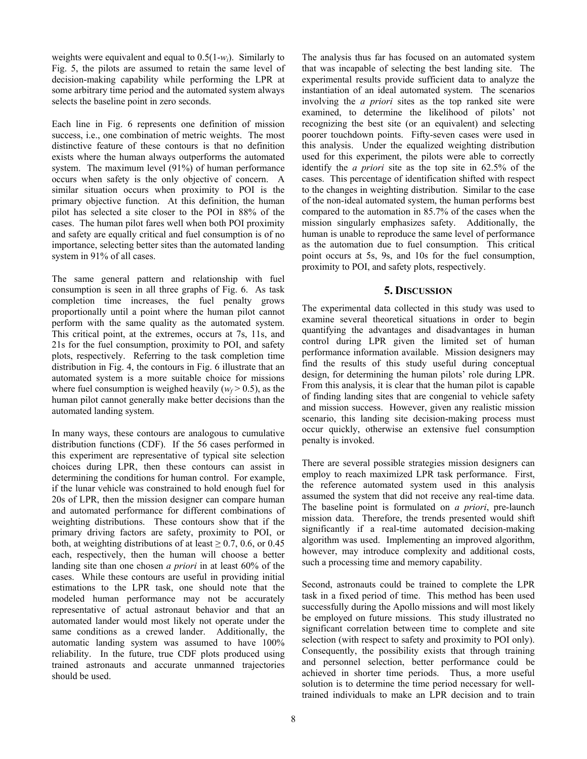weights were equivalent and equal to  $0.5(1-w_i)$ . Similarly to Fig. 5, the pilots are assumed to retain the same level of decision-making capability while performing the LPR at some arbitrary time period and the automated system always selects the baseline point in zero seconds.

Each line in Fig. 6 represents one definition of mission success, i.e., one combination of metric weights. The most distinctive feature of these contours is that no definition exists where the human always outperforms the automated system. The maximum level (91%) of human performance occurs when safety is the only objective of concern. A similar situation occurs when proximity to POI is the primary objective function. At this definition, the human pilot has selected a site closer to the POI in 88% of the cases. The human pilot fares well when both POI proximity and safety are equally critical and fuel consumption is of no importance, selecting better sites than the automated landing system in 91% of all cases.

The same general pattern and relationship with fuel consumption is seen in all three graphs of Fig. 6. As task completion time increases, the fuel penalty grows proportionally until a point where the human pilot cannot perform with the same quality as the automated system. This critical point, at the extremes, occurs at 7s, 11s, and 21s for the fuel consumption, proximity to POI, and safety plots, respectively. Referring to the task completion time distribution in Fig. 4, the contours in Fig. 6 illustrate that an automated system is a more suitable choice for missions where fuel consumption is weighed heavily  $(w_f > 0.5)$ , as the human pilot cannot generally make better decisions than the automated landing system.

In many ways, these contours are analogous to cumulative distribution functions (CDF). If the 56 cases performed in this experiment are representative of typical site selection choices during LPR, then these contours can assist in determining the conditions for human control. For example, if the lunar vehicle was constrained to hold enough fuel for 20s of LPR, then the mission designer can compare human and automated performance for different combinations of weighting distributions. These contours show that if the primary driving factors are safety, proximity to POI, or both, at weighting distributions of at least  $\geq 0.7$ , 0.6, or 0.45 each, respectively, then the human will choose a better landing site than one chosen *a priori* in at least 60% of the cases. While these contours are useful in providing initial estimations to the LPR task, one should note that the modeled human performance may not be accurately representative of actual astronaut behavior and that an automated lander would most likely not operate under the same conditions as a crewed lander. Additionally, the automatic landing system was assumed to have 100% reliability. In the future, true CDF plots produced using trained astronauts and accurate unmanned trajectories should be used.

The analysis thus far has focused on an automated system that was incapable of selecting the best landing site. The experimental results provide sufficient data to analyze the instantiation of an ideal automated system. The scenarios involving the *a priori* sites as the top ranked site were examined, to determine the likelihood of pilots' not recognizing the best site (or an equivalent) and selecting poorer touchdown points. Fifty-seven cases were used in this analysis. Under the equalized weighting distribution used for this experiment, the pilots were able to correctly identify the *a priori* site as the top site in 62.5% of the cases. This percentage of identification shifted with respect to the changes in weighting distribution. Similar to the case of the non-ideal automated system, the human performs best compared to the automation in 85.7% of the cases when the mission singularly emphasizes safety. Additionally, the human is unable to reproduce the same level of performance as the automation due to fuel consumption. This critical point occurs at 5s, 9s, and 10s for the fuel consumption, proximity to POI, and safety plots, respectively.

# **5. DISCUSSION**

The experimental data collected in this study was used to examine several theoretical situations in order to begin quantifying the advantages and disadvantages in human control during LPR given the limited set of human performance information available. Mission designers may find the results of this study useful during conceptual design, for determining the human pilots' role during LPR. From this analysis, it is clear that the human pilot is capable of finding landing sites that are congenial to vehicle safety and mission success. However, given any realistic mission scenario, this landing site decision-making process must occur quickly, otherwise an extensive fuel consumption penalty is invoked.

There are several possible strategies mission designers can employ to reach maximized LPR task performance. First, the reference automated system used in this analysis assumed the system that did not receive any real-time data. The baseline point is formulated on *a priori*, pre-launch mission data. Therefore, the trends presented would shift significantly if a real-time automated decision-making algorithm was used. Implementing an improved algorithm, however, may introduce complexity and additional costs, such a processing time and memory capability.

Second, astronauts could be trained to complete the LPR task in a fixed period of time. This method has been used successfully during the Apollo missions and will most likely be employed on future missions. This study illustrated no significant correlation between time to complete and site selection (with respect to safety and proximity to POI only). Consequently, the possibility exists that through training and personnel selection, better performance could be achieved in shorter time periods. Thus, a more useful solution is to determine the time period necessary for welltrained individuals to make an LPR decision and to train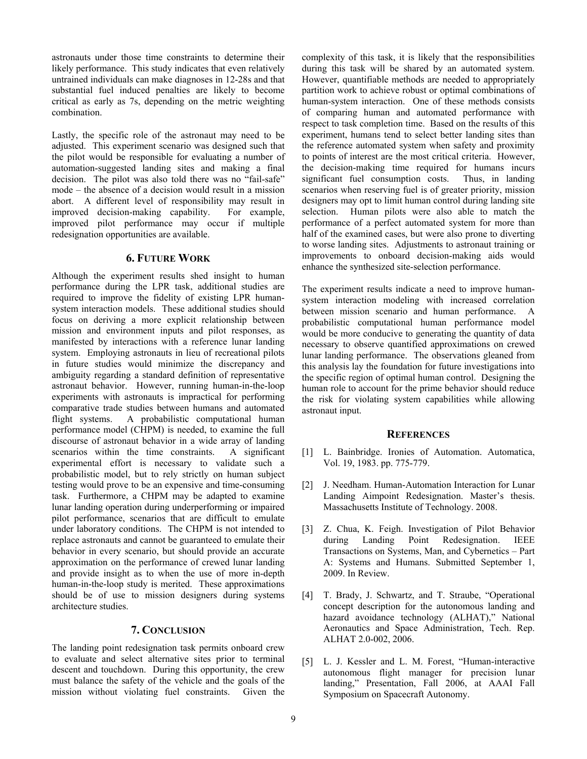astronauts under those time constraints to determine their likely performance. This study indicates that even relatively untrained individuals can make diagnoses in 12-28s and that substantial fuel induced penalties are likely to become critical as early as 7s, depending on the metric weighting combination.

Lastly, the specific role of the astronaut may need to be adjusted. This experiment scenario was designed such that the pilot would be responsible for evaluating a number of automation-suggested landing sites and making a final decision. The pilot was also told there was no "fail-safe" mode – the absence of a decision would result in a mission abort. A different level of responsibility may result in improved decision-making capability. For example, improved pilot performance may occur if multiple redesignation opportunities are available.

## **6. FUTURE WORK**

Although the experiment results shed insight to human performance during the LPR task, additional studies are required to improve the fidelity of existing LPR humansystem interaction models. These additional studies should focus on deriving a more explicit relationship between mission and environment inputs and pilot responses, as manifested by interactions with a reference lunar landing system. Employing astronauts in lieu of recreational pilots in future studies would minimize the discrepancy and ambiguity regarding a standard definition of representative astronaut behavior. However, running human-in-the-loop experiments with astronauts is impractical for performing comparative trade studies between humans and automated flight systems. A probabilistic computational human performance model (CHPM) is needed, to examine the full discourse of astronaut behavior in a wide array of landing scenarios within the time constraints. A significant experimental effort is necessary to validate such a probabilistic model, but to rely strictly on human subject testing would prove to be an expensive and time-consuming task. Furthermore, a CHPM may be adapted to examine lunar landing operation during underperforming or impaired pilot performance, scenarios that are difficult to emulate under laboratory conditions. The CHPM is not intended to replace astronauts and cannot be guaranteed to emulate their behavior in every scenario, but should provide an accurate approximation on the performance of crewed lunar landing and provide insight as to when the use of more in-depth human-in-the-loop study is merited. These approximations should be of use to mission designers during systems architecture studies.

## **7. CONCLUSION**

The landing point redesignation task permits onboard crew to evaluate and select alternative sites prior to terminal descent and touchdown. During this opportunity, the crew must balance the safety of the vehicle and the goals of the mission without violating fuel constraints. Given the

complexity of this task, it is likely that the responsibilities during this task will be shared by an automated system. However, quantifiable methods are needed to appropriately partition work to achieve robust or optimal combinations of human-system interaction. One of these methods consists of comparing human and automated performance with respect to task completion time. Based on the results of this experiment, humans tend to select better landing sites than the reference automated system when safety and proximity to points of interest are the most critical criteria. However, the decision-making time required for humans incurs significant fuel consumption costs. Thus, in landing scenarios when reserving fuel is of greater priority, mission designers may opt to limit human control during landing site selection. Human pilots were also able to match the performance of a perfect automated system for more than half of the examined cases, but were also prone to diverting to worse landing sites. Adjustments to astronaut training or improvements to onboard decision-making aids would enhance the synthesized site-selection performance.

The experiment results indicate a need to improve humansystem interaction modeling with increased correlation between mission scenario and human performance. A probabilistic computational human performance model would be more conducive to generating the quantity of data necessary to observe quantified approximations on crewed lunar landing performance. The observations gleaned from this analysis lay the foundation for future investigations into the specific region of optimal human control. Designing the human role to account for the prime behavior should reduce the risk for violating system capabilities while allowing astronaut input.

#### **REFERENCES**

- [1] L. Bainbridge. Ironies of Automation. Automatica, Vol. 19, 1983. pp. 775-779.
- [2] J. Needham. Human-Automation Interaction for Lunar Landing Aimpoint Redesignation. Master's thesis. Massachusetts Institute of Technology. 2008.
- [3] Z. Chua, K. Feigh. Investigation of Pilot Behavior during Landing Point Redesignation. IEEE Transactions on Systems, Man, and Cybernetics – Part A: Systems and Humans. Submitted September 1, 2009. In Review.
- [4] T. Brady, J. Schwartz, and T. Straube, "Operational concept description for the autonomous landing and hazard avoidance technology (ALHAT)," National Aeronautics and Space Administration, Tech. Rep. ALHAT 2.0-002, 2006.
- [5] L. J. Kessler and L. M. Forest, "Human-interactive autonomous flight manager for precision lunar landing," Presentation, Fall 2006, at AAAI Fall Symposium on Spacecraft Autonomy.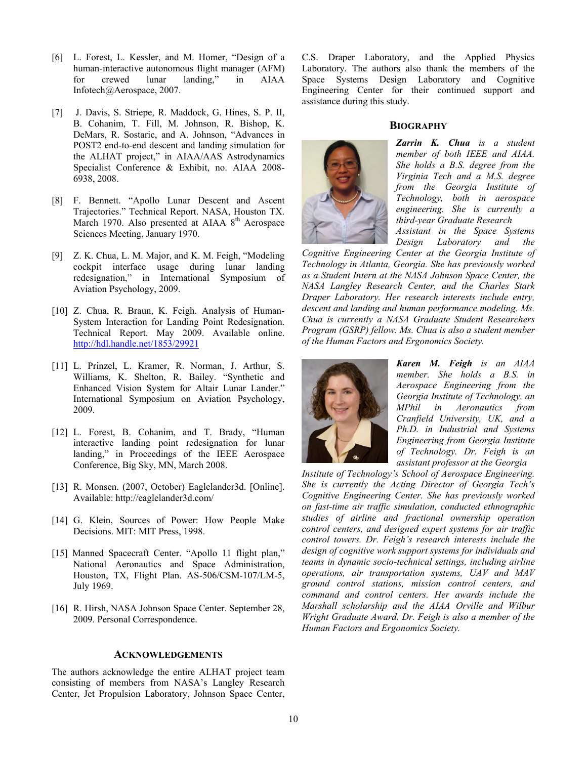- [6] L. Forest, L. Kessler, and M. Homer, "Design of a human-interactive autonomous flight manager (AFM) for crewed lunar landing," in AIAA Infotech@Aerospace, 2007.
- [7] J. Davis, S. Striepe, R. Maddock, G. Hines, S. P. II, B. Cohanim, T. Fill, M. Johnson, R. Bishop, K. DeMars, R. Sostaric, and A. Johnson, "Advances in POST2 end-to-end descent and landing simulation for the ALHAT project," in AIAA/AAS Astrodynamics Specialist Conference & Exhibit, no. AIAA 2008- 6938, 2008.
- [8] F. Bennett. "Apollo Lunar Descent and Ascent Trajectories." Technical Report. NASA, Houston TX. March 1970. Also presented at AIAA 8<sup>th</sup> Aerospace Sciences Meeting, January 1970.
- [9] Z. K. Chua, L. M. Major, and K. M. Feigh, "Modeling cockpit interface usage during lunar landing redesignation," in International Symposium of Aviation Psychology, 2009.
- [10] Z. Chua, R. Braun, K. Feigh. Analysis of Human-System Interaction for Landing Point Redesignation. Technical Report. May 2009. Available online. http://hdl.handle.net/1853/29921
- [11] L. Prinzel, L. Kramer, R. Norman, J. Arthur, S. Williams, K. Shelton, R. Bailey. "Synthetic and Enhanced Vision System for Altair Lunar Lander." International Symposium on Aviation Psychology, 2009.
- [12] L. Forest, B. Cohanim, and T. Brady, "Human interactive landing point redesignation for lunar landing," in Proceedings of the IEEE Aerospace Conference, Big Sky, MN, March 2008.
- [13] R. Monsen. (2007, October) Eaglelander3d. [Online]. Available: http://eaglelander3d.com/
- [14] G. Klein, Sources of Power: How People Make Decisions. MIT: MIT Press, 1998.
- [15] Manned Spacecraft Center. "Apollo 11 flight plan," National Aeronautics and Space Administration, Houston, TX, Flight Plan. AS-506/CSM-107/LM-5, July 1969.
- [16] R. Hirsh, NASA Johnson Space Center. September 28, 2009. Personal Correspondence.

## **ACKNOWLEDGEMENTS**

The authors acknowledge the entire ALHAT project team consisting of members from NASA's Langley Research Center, Jet Propulsion Laboratory, Johnson Space Center,

C.S. Draper Laboratory, and the Applied Physics Laboratory. The authors also thank the members of the Space Systems Design Laboratory and Cognitive Engineering Center for their continued support and assistance during this study.

# **BIOGRAPHY**



*Zarrin K. Chua is a student member of both IEEE and AIAA. She holds a B.S. degree from the Virginia Tech and a M.S. degree from the Georgia Institute of Technology, both in aerospace engineering. She is currently a third-year Graduate Research Assistant in the Space Systems* 

*Design Laboratory and the* 

*Cognitive Engineering Center at the Georgia Institute of Technology in Atlanta, Georgia. She has previously worked as a Student Intern at the NASA Johnson Space Center, the NASA Langley Research Center, and the Charles Stark Draper Laboratory. Her research interests include entry, descent and landing and human performance modeling. Ms. Chua is currently a NASA Graduate Student Researchers Program (GSRP) fellow. Ms. Chua is also a student member of the Human Factors and Ergonomics Society.* 



*Karen M. Feigh is an AIAA member. She holds a B.S. in Aerospace Engineering from the Georgia Institute of Technology, an MPhil in Aeronautics from Cranfield University, UK, and a Ph.D. in Industrial and Systems Engineering from Georgia Institute of Technology. Dr. Feigh is an assistant professor at the Georgia* 

*Institute of Technology's School of Aerospace Engineering. She is currently the Acting Director of Georgia Tech's Cognitive Engineering Center. She has previously worked on fast-time air traffic simulation, conducted ethnographic studies of airline and fractional ownership operation control centers, and designed expert systems for air traffic control towers. Dr. Feigh's research interests include the design of cognitive work support systems for individuals and teams in dynamic socio-technical settings, including airline operations, air transportation systems, UAV and MAV ground control stations, mission control centers, and command and control centers. Her awards include the Marshall scholarship and the AIAA Orville and Wilbur Wright Graduate Award. Dr. Feigh is also a member of the Human Factors and Ergonomics Society.*